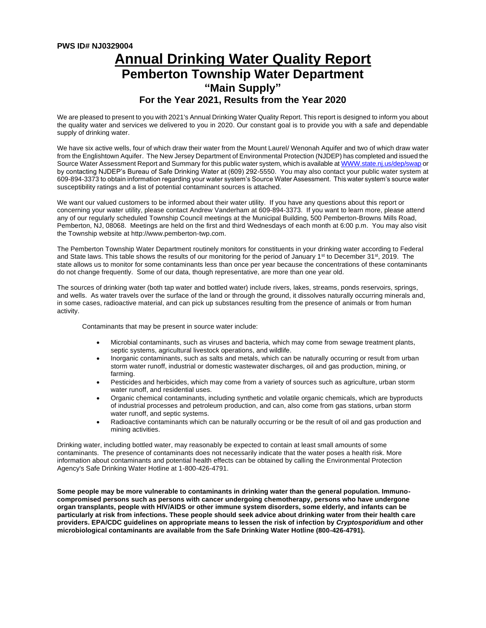# **Annual Drinking Water Quality Report Pemberton Township Water Department "Main Supply" For the Year 2021, Results from the Year 2020**

We are pleased to present to you with 2021's Annual Drinking Water Quality Report. This report is designed to inform you about the quality water and services we delivered to you in 2020. Our constant goal is to provide you with a safe and dependable supply of drinking water.

We have six active wells, four of which draw their water from the Mount Laurel/ Wenonah Aquifer and two of which draw water from the Englishtown Aquifer. The New Jersey Department of Environmental Protection (NJDEP) has completed and issued the Source Water Assessment Report and Summary for this public water system, which is available a[t WWW.state.nj.us/dep/swap](http://www.state.nj.us/dep/swap) or by contacting NJDEP's Bureau of Safe Drinking Water at (609) 292-5550. You may also contact your public water system at 609-894-3373 to obtain information regarding your water system's Source Water Assessment. This water system's source water susceptibility ratings and a list of potential contaminant sources is attached.

We want our valued customers to be informed about their water utility. If you have any questions about this report or concerning your water utility, please contact Andrew Vanderham at 609-894-3373. If you want to learn more, please attend any of our regularly scheduled Township Council meetings at the Municipal Building, 500 Pemberton-Browns Mills Road, Pemberton, NJ, 08068. Meetings are held on the first and third Wednesdays of each month at 6:00 p.m. You may also visit the Township website at http://www.pemberton-twp.com.

The Pemberton Township Water Department routinely monitors for constituents in your drinking water according to Federal and State laws. This table shows the results of our monitoring for the period of January 1<sup>st</sup> to December 31<sup>st</sup>, 2019. The state allows us to monitor for some contaminants less than once per year because the concentrations of these contaminants do not change frequently. Some of our data, though representative, are more than one year old.

The sources of drinking water (both tap water and bottled water) include rivers, lakes, streams, ponds reservoirs, springs, and wells. As water travels over the surface of the land or through the ground, it dissolves naturally occurring minerals and, in some cases, radioactive material, and can pick up substances resulting from the presence of animals or from human activity.

Contaminants that may be present in source water include:

- Microbial contaminants, such as viruses and bacteria, which may come from sewage treatment plants, septic systems, agricultural livestock operations, and wildlife.
- Inorganic contaminants, such as salts and metals, which can be naturally occurring or result from urban storm water runoff, industrial or domestic wastewater discharges, oil and gas production, mining, or farming.
- Pesticides and herbicides, which may come from a variety of sources such as agriculture, urban storm water runoff, and residential uses.
- Organic chemical contaminants, including synthetic and volatile organic chemicals, which are byproducts of industrial processes and petroleum production, and can, also come from gas stations, urban storm water runoff, and septic systems.
- Radioactive contaminants which can be naturally occurring or be the result of oil and gas production and mining activities.

Drinking water, including bottled water, may reasonably be expected to contain at least small amounts of some contaminants. The presence of contaminants does not necessarily indicate that the water poses a health risk. More information about contaminants and potential health effects can be obtained by calling the Environmental Protection Agency's Safe Drinking Water Hotline at 1-800-426-4791.

**Some people may be more vulnerable to contaminants in drinking water than the general population. Immunocompromised persons such as persons with cancer undergoing chemotherapy, persons who have undergone organ transplants, people with HIV/AIDS or other immune system disorders, some elderly, and infants can be particularly at risk from infections. These people should seek advice about drinking water from their health care providers. EPA/CDC guidelines on appropriate means to lessen the risk of infection by** *Cryptosporidium* **and other microbiological contaminants are available from the Safe Drinking Water Hotline (800-426-4791).**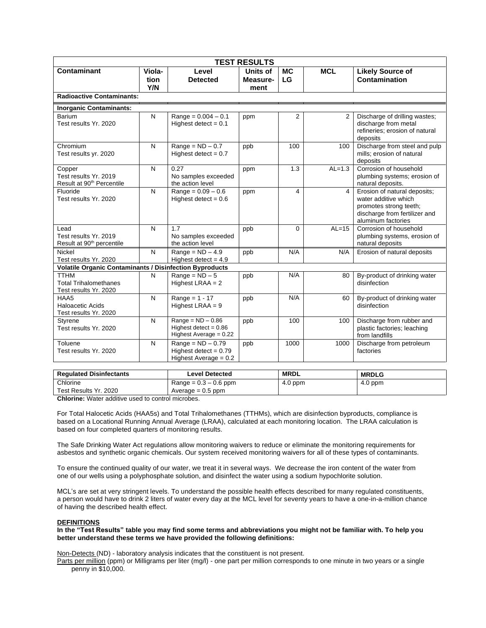| <b>TEST RESULTS</b>                                                      |                       |                                                                            |                              |                 |                |                                                                                                                                       |  |  |  |  |  |  |  |
|--------------------------------------------------------------------------|-----------------------|----------------------------------------------------------------------------|------------------------------|-----------------|----------------|---------------------------------------------------------------------------------------------------------------------------------------|--|--|--|--|--|--|--|
| Contaminant                                                              | Viola-<br>tion<br>Y/N | Level<br><b>Detected</b>                                                   | Units of<br>Measure-<br>ment | <b>MC</b><br>LG | <b>MCL</b>     | <b>Likely Source of</b><br>Contamination                                                                                              |  |  |  |  |  |  |  |
| <b>Radioactive Contaminants:</b>                                         |                       |                                                                            |                              |                 |                |                                                                                                                                       |  |  |  |  |  |  |  |
| <b>Inorganic Contaminants:</b>                                           |                       |                                                                            |                              |                 |                |                                                                                                                                       |  |  |  |  |  |  |  |
| Barium<br>Test results Yr. 2020                                          | N                     | Range = $0.004 - 0.1$<br>Highest detect = $0.1$                            | ppm                          | 2               | 2              | Discharge of drilling wastes:<br>discharge from metal<br>refineries; erosion of natural<br>deposits                                   |  |  |  |  |  |  |  |
| Chromium<br>Test results yr. 2020                                        | N                     | $Range = ND - 0.7$<br>Highest detect = $0.7$                               | ppb                          | 100             | 100            | Discharge from steel and pulp<br>mills; erosion of natural<br>deposits                                                                |  |  |  |  |  |  |  |
| Copper<br>Test results Yr. 2019<br>Result at 90 <sup>th</sup> Percentile | N                     | 0.27<br>No samples exceeded<br>the action level                            | ppm                          | 1.3             | $AL=1.3$       | Corrosion of household<br>plumbing systems; erosion of<br>natural deposits.                                                           |  |  |  |  |  |  |  |
| Fluoride<br>Test results Yr. 2020                                        | N                     | Range = $0.09 - 0.6$<br>Highest detect = $0.6$                             | ppm                          | 4               | $\overline{4}$ | Erosion of natural deposits;<br>water additive which<br>promotes strong teeth;<br>discharge from fertilizer and<br>aluminum factories |  |  |  |  |  |  |  |
| Lead<br>Test results Yr. 2019<br>Result at 90 <sup>th</sup> percentile   | N                     | 1.7<br>No samples exceeded<br>the action level                             | ppb                          | $\Omega$        | $AL=15$        | Corrosion of household<br>plumbing systems, erosion of<br>natural deposits                                                            |  |  |  |  |  |  |  |
| Nickel<br>Test results Yr. 2020                                          | N                     | $Range = ND - 4.9$<br>Highest detect = $4.9$                               | ppb                          | N/A             | N/A            | Erosion of natural deposits                                                                                                           |  |  |  |  |  |  |  |
| <b>Volatile Organic Contaminants / Disinfection Byproducts</b>           |                       |                                                                            |                              |                 |                |                                                                                                                                       |  |  |  |  |  |  |  |
| <b>TTHM</b><br><b>Total Trihalomethanes</b><br>Test results Yr. 2020     | N                     | $Range = ND - 5$<br>Highest LRAA = 2                                       | ppb                          | N/A             | 80             | By-product of drinking water<br>disinfection                                                                                          |  |  |  |  |  |  |  |
| HAA5<br><b>Haloacetic Acids</b><br>Test results Yr. 2020                 | N                     | Range = $1 - 17$<br>Highest LRAA = $9$                                     | ppb                          | N/A             | 60             | By-product of drinking water<br>disinfection                                                                                          |  |  |  |  |  |  |  |
| Styrene<br>Test results Yr. 2020                                         | N                     | $Range = ND - 0.86$<br>Highest detect = $0.86$<br>Highest Average $= 0.22$ | ppb                          | 100             | 100            | Discharge from rubber and<br>plastic factories; leaching<br>from landfills                                                            |  |  |  |  |  |  |  |
| Toluene<br>Test results Yr. 2020                                         | N                     | $Range = ND - 0.79$<br>Highest detect = $0.79$<br>Highest Average = $0.2$  | ppb                          | 1000            | 1000           | Discharge from petroleum<br>factories                                                                                                 |  |  |  |  |  |  |  |

| <b>Regulated Disinfectants</b> | Level Detected          | <b>MRDL</b> | <b>MRDLG</b> |  |  |  |  |
|--------------------------------|-------------------------|-------------|--------------|--|--|--|--|
| Chlorine                       | $Range = 0.3 - 0.6$ ppm | $4.0$ ppm   | $4.0$ ppm    |  |  |  |  |
| Test Results Yr. 2020          | Average $= 0.5$ ppm     |             |              |  |  |  |  |

**Chlorine:** Water additive used to control microbes.

For Total Halocetic Acids (HAA5s) and Total Trihalomethanes (TTHMs), which are disinfection byproducts, compliance is based on a Locational Running Annual Average (LRAA), calculated at each monitoring location. The LRAA calculation is based on four completed quarters of monitoring results.

The Safe Drinking Water Act regulations allow monitoring waivers to reduce or eliminate the monitoring requirements for asbestos and synthetic organic chemicals. Our system received monitoring waivers for all of these types of contaminants.

To ensure the continued quality of our water, we treat it in several ways. We decrease the iron content of the water from one of our wells using a polyphosphate solution, and disinfect the water using a sodium hypochlorite solution.

MCL's are set at very stringent levels. To understand the possible health effects described for many regulated constituents, a person would have to drink 2 liters of water every day at the MCL level for seventy years to have a one-in-a-million chance of having the described health effect.

# **DEFINITIONS**

**In the "Test Results" table you may find some terms and abbreviations you might not be familiar with. To help you better understand these terms we have provided the following definitions:**

Non-Detects (ND) - laboratory analysis indicates that the constituent is not present.

Parts per million (ppm) or Milligrams per liter (mg/l) - one part per million corresponds to one minute in two years or a single penny in \$10,000.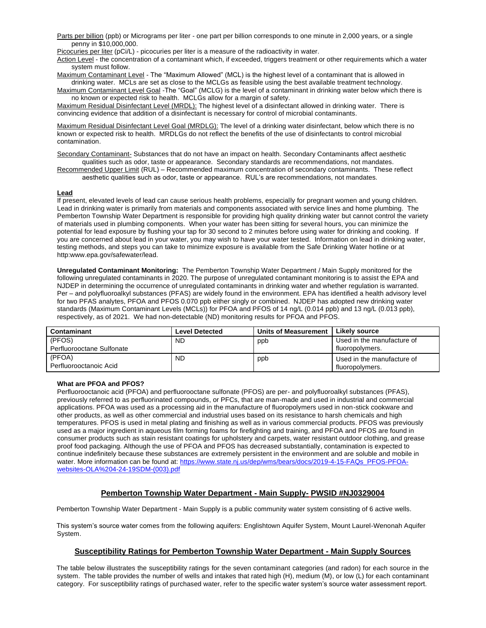Parts per billion (ppb) or Micrograms per liter - one part per billion corresponds to one minute in 2,000 years, or a single penny in \$10,000,000.

Picocuries per liter (pCi/L) - picocuries per liter is a measure of the radioactivity in water.

Action Level - the concentration of a contaminant which, if exceeded, triggers treatment or other requirements which a water system must follow.

Maximum Contaminant Level - The "Maximum Allowed" (MCL) is the highest level of a contaminant that is allowed in drinking water. MCLs are set as close to the MCLGs as feasible using the best available treatment technology.

Maximum Contaminant Level Goal -The "Goal" (MCLG) is the level of a contaminant in drinking water below which there is no known or expected risk to health. MCLGs allow for a margin of safety.

Maximum Residual Disinfectant Level (MRDL): The highest level of a disinfectant allowed in drinking water. There is convincing evidence that addition of a disinfectant is necessary for control of microbial contaminants.

Maximum Residual Disinfectant Level Goal (MRDLG): The level of a drinking water disinfectant, below which there is no known or expected risk to health. MRDLGs do not reflect the benefits of the use of disinfectants to control microbial contamination.

Secondary Contaminant- Substances that do not have an impact on health. Secondary Contaminants affect aesthetic qualities such as odor, taste or appearance. Secondary standards are recommendations, not mandates.

Recommended Upper Limit (RUL) – Recommended maximum concentration of secondary contaminants. These reflect aesthetic qualities such as odor, taste or appearance. RUL's are recommendations, not mandates.

# **Lead**

If present, elevated levels of lead can cause serious health problems, especially for pregnant women and young children. Lead in drinking water is primarily from materials and components associated with service lines and home plumbing. The Pemberton Township Water Department is responsible for providing high quality drinking water but cannot control the variety of materials used in plumbing components. When your water has been sitting for several hours, you can minimize the potential for lead exposure by flushing your tap for 30 second to 2 minutes before using water for drinking and cooking. If you are concerned about lead in your water, you may wish to have your water tested. Information on lead in drinking water, testing methods, and steps you can take to minimize exposure is available from the Safe Drinking Water hotline or at http:www.epa.gov/safewater/lead.

**Unregulated Contaminant Monitoring:** The Pemberton Township Water Department / Main Supply monitored for the following unregulated contaminants in 2020. The purpose of unregulated contaminant monitoring is to assist the EPA and NJDEP in determining the occurrence of unregulated contaminants in drinking water and whether regulation is warranted. Per – and polyfluoroalkyl substances (PFAS) are widely found in the environment. EPA has identified a health advisory level for two PFAS analytes, PFOA and PFOS 0.070 ppb either singly or combined. NJDEP has adopted new drinking water standards (Maximum Contaminant Levels (MCLs)) for PFOA and PFOS of 14 ng/L (0.014 ppb) and 13 ng/L (0.013 ppb), respectively, as of 2021. We had non-detectable (ND) monitoring results for PFOA and PFOS.

| Contaminant                      | <b>Level Detected</b> | <b>Units of Measurement</b> | Likely source                                 |
|----------------------------------|-----------------------|-----------------------------|-----------------------------------------------|
| (PFOS)                           | ND.                   | ppb                         | Used in the manufacture of                    |
| Perfluorooctane Sulfonate        |                       |                             | fluoropolymers.                               |
| (PFOA)<br>Perfluorooctanoic Acid | <b>ND</b>             | ppb                         | Used in the manufacture of<br>fluoropolymers. |

# **What are PFOA and PFOS?**

Perfluorooctanoic acid (PFOA) and perfluorooctane sulfonate (PFOS) are per- and polyfluoroalkyl substances (PFAS), previously referred to as perfluorinated compounds, or PFCs, that are man-made and used in industrial and commercial applications. PFOA was used as a processing aid in the manufacture of fluoropolymers used in non-stick cookware and other products, as well as other commercial and industrial uses based on its resistance to harsh chemicals and high temperatures. PFOS is used in metal plating and finishing as well as in various commercial products. PFOS was previously used as a major ingredient in aqueous film forming foams for firefighting and training, and PFOA and PFOS are found in consumer products such as stain resistant coatings for upholstery and carpets, water resistant outdoor clothing, and grease proof food packaging. Although the use of PFOA and PFOS has decreased substantially, contamination is expected to continue indefinitely because these substances are extremely persistent in the environment and are soluble and mobile in water. More information can be found at: [https://www.state.nj.us/dep/wms/bears/docs/2019-4-15-FAQs\\_PFOS-PFOA](https://www.state.nj.us/dep/wms/bears/docs/2019-4-15-FAQs_PFOS-PFOA-websites-OLA%204-24-19SDM-(003).pdf)[websites-OLA%204-24-19SDM-\(003\).pdf](https://www.state.nj.us/dep/wms/bears/docs/2019-4-15-FAQs_PFOS-PFOA-websites-OLA%204-24-19SDM-(003).pdf)

# **Pemberton Township Water Department - Main Supply- PWSID #NJ0329004**

Pemberton Township Water Department - Main Supply is a public community water system consisting of 6 active wells.

This system's source water comes from the following aquifers: Englishtown Aquifer System, Mount Laurel-Wenonah Aquifer System.

# **Susceptibility Ratings for Pemberton Township Water Department - Main Supply Sources**

The table below illustrates the susceptibility ratings for the seven contaminant categories (and radon) for each source in the system. The table provides the number of wells and intakes that rated high (H), medium (M), or low (L) for each contaminant category. For susceptibility ratings of purchased water, refer to the specific water system's source water assessment report.